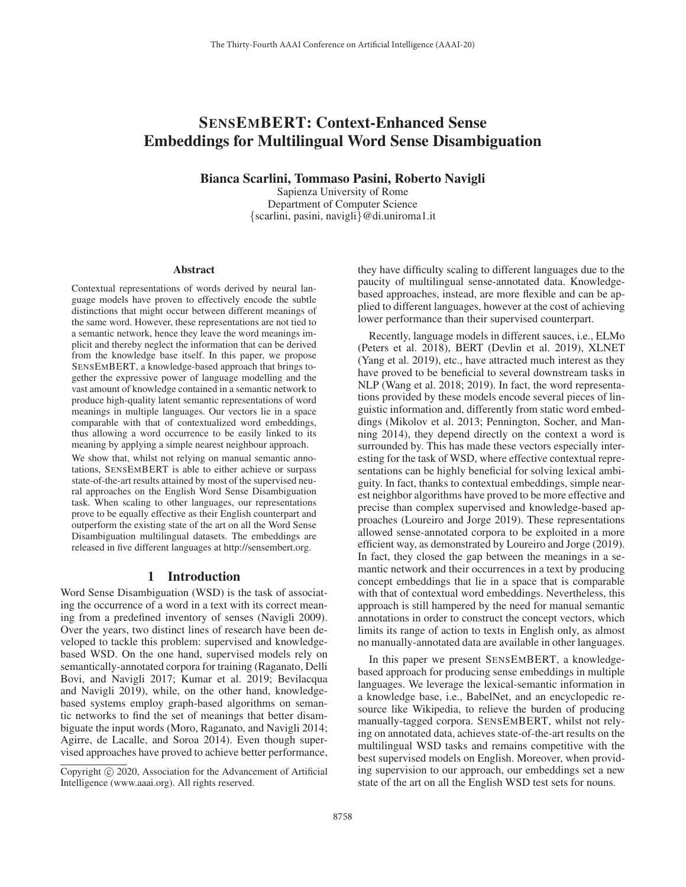# SENSEMBERT: Context-Enhanced Sense Embeddings for Multilingual Word Sense Disambiguation

Bianca Scarlini, Tommaso Pasini, Roberto Navigli

Sapienza University of Rome Department of Computer Science {scarlini, pasini, navigli}@di.uniroma1.it

#### Abstract

Contextual representations of words derived by neural language models have proven to effectively encode the subtle distinctions that might occur between different meanings of the same word. However, these representations are not tied to a semantic network, hence they leave the word meanings implicit and thereby neglect the information that can be derived from the knowledge base itself. In this paper, we propose SENSEMBERT, a knowledge-based approach that brings together the expressive power of language modelling and the vast amount of knowledge contained in a semantic network to produce high-quality latent semantic representations of word meanings in multiple languages. Our vectors lie in a space comparable with that of contextualized word embeddings, thus allowing a word occurrence to be easily linked to its meaning by applying a simple nearest neighbour approach. We show that, whilst not relying on manual semantic annotations, SENSEMBERT is able to either achieve or surpass state-of-the-art results attained by most of the supervised neural approaches on the English Word Sense Disambiguation task. When scaling to other languages, our representations prove to be equally effective as their English counterpart and outperform the existing state of the art on all the Word Sense Disambiguation multilingual datasets. The embeddings are released in five different languages at http://sensembert.org.

#### 1 Introduction

Word Sense Disambiguation (WSD) is the task of associating the occurrence of a word in a text with its correct meaning from a predefined inventory of senses (Navigli 2009). Over the years, two distinct lines of research have been developed to tackle this problem: supervised and knowledgebased WSD. On the one hand, supervised models rely on semantically-annotated corpora for training (Raganato, Delli Bovi, and Navigli 2017; Kumar et al. 2019; Bevilacqua and Navigli 2019), while, on the other hand, knowledgebased systems employ graph-based algorithms on semantic networks to find the set of meanings that better disambiguate the input words (Moro, Raganato, and Navigli 2014; Agirre, de Lacalle, and Soroa 2014). Even though supervised approaches have proved to achieve better performance,

they have difficulty scaling to different languages due to the paucity of multilingual sense-annotated data. Knowledgebased approaches, instead, are more flexible and can be applied to different languages, however at the cost of achieving lower performance than their supervised counterpart.

Recently, language models in different sauces, i.e., ELMo (Peters et al. 2018), BERT (Devlin et al. 2019), XLNET (Yang et al. 2019), etc., have attracted much interest as they have proved to be beneficial to several downstream tasks in NLP (Wang et al. 2018; 2019). In fact, the word representations provided by these models encode several pieces of linguistic information and, differently from static word embeddings (Mikolov et al. 2013; Pennington, Socher, and Manning 2014), they depend directly on the context a word is surrounded by. This has made these vectors especially interesting for the task of WSD, where effective contextual representations can be highly beneficial for solving lexical ambiguity. In fact, thanks to contextual embeddings, simple nearest neighbor algorithms have proved to be more effective and precise than complex supervised and knowledge-based approaches (Loureiro and Jorge 2019). These representations allowed sense-annotated corpora to be exploited in a more efficient way, as demonstrated by Loureiro and Jorge (2019). In fact, they closed the gap between the meanings in a semantic network and their occurrences in a text by producing concept embeddings that lie in a space that is comparable with that of contextual word embeddings. Nevertheless, this approach is still hampered by the need for manual semantic annotations in order to construct the concept vectors, which limits its range of action to texts in English only, as almost no manually-annotated data are available in other languages.

In this paper we present SENSEMBERT, a knowledgebased approach for producing sense embeddings in multiple languages. We leverage the lexical-semantic information in a knowledge base, i.e., BabelNet, and an encyclopedic resource like Wikipedia, to relieve the burden of producing manually-tagged corpora. SENSEMBERT, whilst not relying on annotated data, achieves state-of-the-art results on the multilingual WSD tasks and remains competitive with the best supervised models on English. Moreover, when providing supervision to our approach, our embeddings set a new state of the art on all the English WSD test sets for nouns.

Copyright  $\odot$  2020, Association for the Advancement of Artificial Intelligence (www.aaai.org). All rights reserved.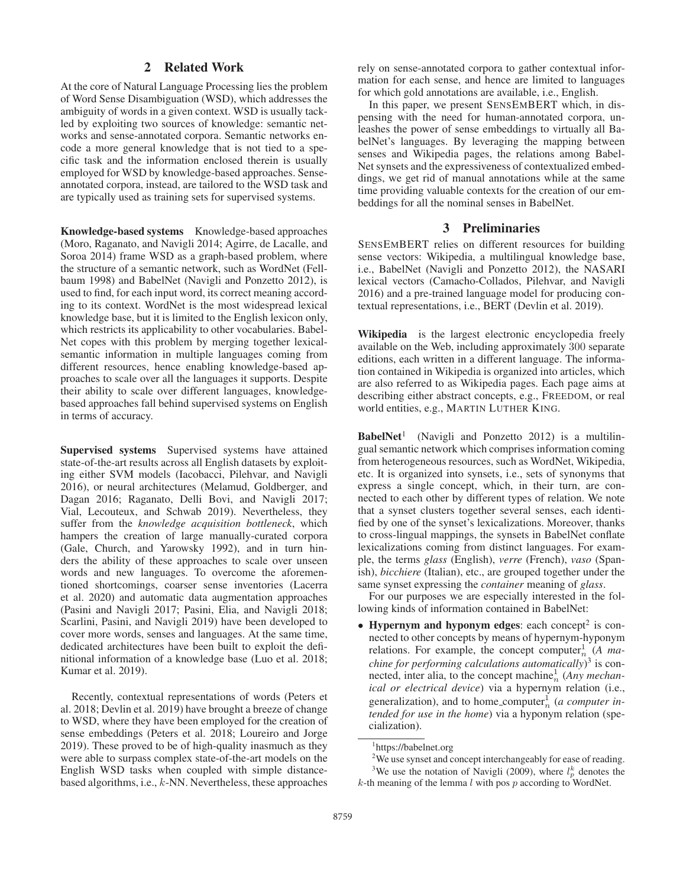# 2 Related Work

At the core of Natural Language Processing lies the problem of Word Sense Disambiguation (WSD), which addresses the ambiguity of words in a given context. WSD is usually tackled by exploiting two sources of knowledge: semantic networks and sense-annotated corpora. Semantic networks encode a more general knowledge that is not tied to a specific task and the information enclosed therein is usually employed for WSD by knowledge-based approaches. Senseannotated corpora, instead, are tailored to the WSD task and are typically used as training sets for supervised systems.

Knowledge-based systems Knowledge-based approaches (Moro, Raganato, and Navigli 2014; Agirre, de Lacalle, and Soroa 2014) frame WSD as a graph-based problem, where the structure of a semantic network, such as WordNet (Fellbaum 1998) and BabelNet (Navigli and Ponzetto 2012), is used to find, for each input word, its correct meaning according to its context. WordNet is the most widespread lexical knowledge base, but it is limited to the English lexicon only, which restricts its applicability to other vocabularies. Babel-Net copes with this problem by merging together lexicalsemantic information in multiple languages coming from different resources, hence enabling knowledge-based approaches to scale over all the languages it supports. Despite their ability to scale over different languages, knowledgebased approaches fall behind supervised systems on English in terms of accuracy.

Supervised systems Supervised systems have attained state-of-the-art results across all English datasets by exploiting either SVM models (Iacobacci, Pilehvar, and Navigli 2016), or neural architectures (Melamud, Goldberger, and Dagan 2016; Raganato, Delli Bovi, and Navigli 2017; Vial, Lecouteux, and Schwab 2019). Nevertheless, they suffer from the *knowledge acquisition bottleneck*, which hampers the creation of large manually-curated corpora (Gale, Church, and Yarowsky 1992), and in turn hinders the ability of these approaches to scale over unseen words and new languages. To overcome the aforementioned shortcomings, coarser sense inventories (Lacerra et al. 2020) and automatic data augmentation approaches (Pasini and Navigli 2017; Pasini, Elia, and Navigli 2018; Scarlini, Pasini, and Navigli 2019) have been developed to cover more words, senses and languages. At the same time, dedicated architectures have been built to exploit the definitional information of a knowledge base (Luo et al. 2018; Kumar et al. 2019).

Recently, contextual representations of words (Peters et al. 2018; Devlin et al. 2019) have brought a breeze of change to WSD, where they have been employed for the creation of sense embeddings (Peters et al. 2018; Loureiro and Jorge 2019). These proved to be of high-quality inasmuch as they were able to surpass complex state-of-the-art models on the English WSD tasks when coupled with simple distancebased algorithms, i.e., k-NN. Nevertheless, these approaches rely on sense-annotated corpora to gather contextual information for each sense, and hence are limited to languages for which gold annotations are available, i.e., English.

In this paper, we present SENSEMBERT which, in dispensing with the need for human-annotated corpora, unleashes the power of sense embeddings to virtually all BabelNet's languages. By leveraging the mapping between senses and Wikipedia pages, the relations among Babel-Net synsets and the expressiveness of contextualized embeddings, we get rid of manual annotations while at the same time providing valuable contexts for the creation of our embeddings for all the nominal senses in BabelNet.

# 3 Preliminaries

SENSEMBERT relies on different resources for building sense vectors: Wikipedia, a multilingual knowledge base, i.e., BabelNet (Navigli and Ponzetto 2012), the NASARI lexical vectors (Camacho-Collados, Pilehvar, and Navigli 2016) and a pre-trained language model for producing contextual representations, i.e., BERT (Devlin et al. 2019).

Wikipedia is the largest electronic encyclopedia freely available on the Web, including approximately 300 separate editions, each written in a different language. The information contained in Wikipedia is organized into articles, which are also referred to as Wikipedia pages. Each page aims at describing either abstract concepts, e.g., FREEDOM, or real world entities, e.g., MARTIN LUTHER KING.

**BabelNet<sup>1</sup>** (Navigli and Ponzetto 2012) is a multilingual semantic network which comprises information coming from heterogeneous resources, such as WordNet, Wikipedia, etc. It is organized into synsets, i.e., sets of synonyms that express a single concept, which, in their turn, are connected to each other by different types of relation. We note that a synset clusters together several senses, each identified by one of the synset's lexicalizations. Moreover, thanks to cross-lingual mappings, the synsets in BabelNet conflate lexicalizations coming from distinct languages. For example, the terms *glass* (English), *verre* (French), *vaso* (Spanish), *bicchiere* (Italian), etc., are grouped together under the same synset expressing the *container* meaning of *glass*.

For our purposes we are especially interested in the following kinds of information contained in BabelNet:

• Hypernym and hyponym edges: each concept<sup>2</sup> is connected to other concepts by means of hypernym-hyponym relations. For example, the concept computer<sup>1</sup> (*A ma-*<br>*chine for performing calculations automatically*)<sup>3</sup> is con*chine for performing calculations automatically*) <sup>3</sup> is connected, inter alia, to the concept machine<sup>1</sup><sub>n</sub> (*Any mechan-*<br>ical ar electrical device) via a hypernym relation (i.e. *ical or electrical device*) via a hypernym relation (i.e., generalization), and to home computer<sup>1</sup><sub>n</sub> (*a computer intended for use in the home*) via a hyponym relation (spe*tended for use in the home*) via a hyponym relation (specialization).

<sup>1</sup> https://babelnet.org

 $2$ We use synset and concept interchangeably for ease of reading. <sup>3</sup>We use the notation of Navigli (2009), where  $l_p^k$  denotes the

 $k$ -th meaning of the lemma  $l$  with pos  $p$  according to WordNet.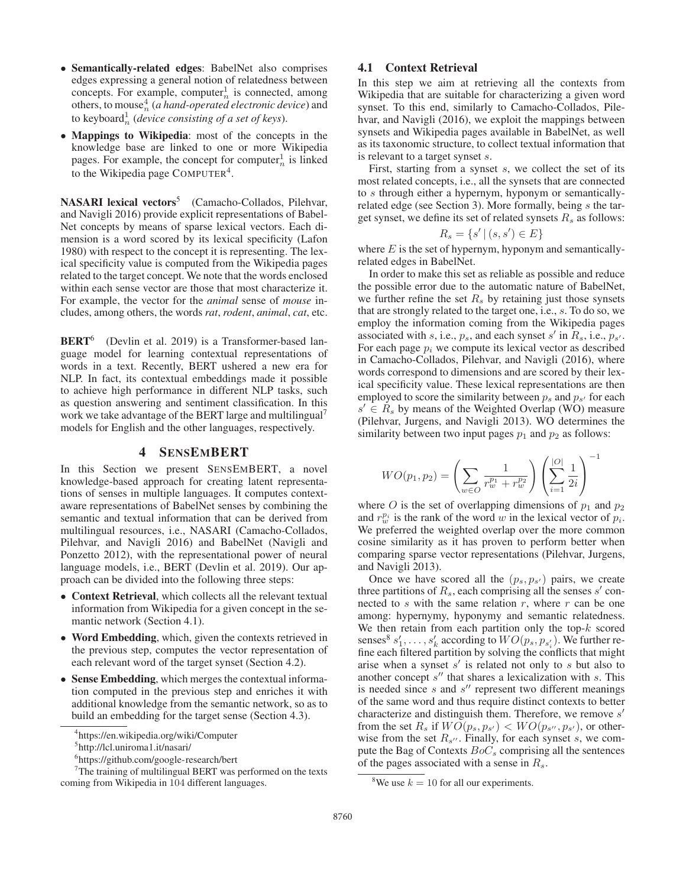- Semantically-related edges: BabelNet also comprises edges expressing a general notion of relatedness between concepts. For example, computer<sup>1</sup> is connected, among<br>others to mouse<sup>4</sup> (a hand-onerated electronic device) and others, to mouse<sup>4</sup> (*a hand-operated electronic device*) and<br>to keyboard<sup>1</sup> (*davice consisting of a set of keys*) to keyboard<sup>1</sup><sub>n</sub> (*device consisting of a set of keys*).
- Mappings to Wikipedia: most of the concepts in the knowledge base are linked to one or more Wikipedia pages. For example, the concept for computer $\frac{1}{n}$  is linked<br>to the Wikipedia page COMPUTER<sup>4</sup> to the Wikipedia page COMPUTER<sup>4</sup>.

NASARI lexical vectors<sup>5</sup> (Camacho-Collados, Pilehvar, and Navigli 2016) provide explicit representations of Babel-Net concepts by means of sparse lexical vectors. Each dimension is a word scored by its lexical specificity (Lafon 1980) with respect to the concept it is representing. The lexical specificity value is computed from the Wikipedia pages related to the target concept. We note that the words enclosed within each sense vector are those that most characterize it. For example, the vector for the *animal* sense of *mouse* includes, among others, the words *rat*, *rodent*, *animal*, *cat*, etc.

BERT<sup>6</sup> (Devlin et al. 2019) is a Transformer-based language model for learning contextual representations of words in a text. Recently, BERT ushered a new era for NLP. In fact, its contextual embeddings made it possible to achieve high performance in different NLP tasks, such as question answering and sentiment classification. In this work we take advantage of the BERT large and multilingual<sup>7</sup> models for English and the other languages, respectively.

## 4 SENSEMBERT

In this Section we present SENSEMBERT, a novel knowledge-based approach for creating latent representations of senses in multiple languages. It computes contextaware representations of BabelNet senses by combining the semantic and textual information that can be derived from multilingual resources, i.e., NASARI (Camacho-Collados, Pilehvar, and Navigli 2016) and BabelNet (Navigli and Ponzetto 2012), with the representational power of neural language models, i.e., BERT (Devlin et al. 2019). Our approach can be divided into the following three steps:

- Context Retrieval, which collects all the relevant textual information from Wikipedia for a given concept in the semantic network (Section 4.1).
- Word Embedding, which, given the contexts retrieved in the previous step, computes the vector representation of each relevant word of the target synset (Section 4.2).
- Sense Embedding, which merges the contextual information computed in the previous step and enriches it with additional knowledge from the semantic network, so as to build an embedding for the target sense (Section 4.3).

6 https://github.com/google-research/bert

## 4.1 Context Retrieval

In this step we aim at retrieving all the contexts from Wikipedia that are suitable for characterizing a given word synset. To this end, similarly to Camacho-Collados, Pilehvar, and Navigli (2016), we exploit the mappings between synsets and Wikipedia pages available in BabelNet, as well as its taxonomic structure, to collect textual information that is relevant to a target synset s.

First, starting from a synset s, we collect the set of its most related concepts, i.e., all the synsets that are connected to s through either a hypernym, hyponym or semanticallyrelated edge (see Section 3). More formally, being s the target synset, we define its set of related synsets  $R_s$  as follows:

$$
R_s = \{ s' \, | \, (s, s') \in E \}
$$

where  $E$  is the set of hypernym, hyponym and semanticallyrelated edges in BabelNet.

In order to make this set as reliable as possible and reduce the possible error due to the automatic nature of BabelNet, we further refine the set  $R_s$  by retaining just those synsets that are strongly related to the target one, i.e., s. To do so, we employ the information coming from the Wikipedia pages associated with s, i.e.,  $p_s$ , and each synset s' in  $R_s$ , i.e.,  $p_{s'}$ .<br>For each page n, we compute its lexical vector as described For each page  $p_i$  we compute its lexical vector as described in Camacho-Collados, Pilehvar, and Navigli (2016), where words correspond to dimensions and are scored by their lexical specificity value. These lexical representations are then employed to score the similarity between  $p_s$  and  $p_{s'}$  for each  $e' \in B$ , by means of the Weighted Overlan (WO) measure  $s' \in R_s$  by means of the Weighted Overlap (WO) measure<br>(Pilebyer, Jurgens, and Navigli 2013), WO determines the (Pilehvar, Jurgens, and Navigli 2013). WO determines the similarity between two input pages  $p_1$  and  $p_2$  as follows:

$$
WO(p_1, p_2) = \left(\sum_{w \in O} \frac{1}{r_w^{p_1} + r_w^{p_2}}\right) \left(\sum_{i=1}^{|O|} \frac{1}{2i}\right)^{-1}
$$

where O is the set of overlapping dimensions of  $p_1$  and  $p_2$ and  $r_w^{p_i}$  is the rank of the word w in the lexical vector of  $p_i$ .<br>We preferred the weighted overlap over the more common We preferred the weighted overlap over the more common cosine similarity as it has proven to perform better when comparing sparse vector representations (Pilehvar, Jurgens, and Navigli 2013).

Once we have scored all the  $(p_s, p_{s'})$  pairs, we create three partitions of  $R_s$ , each comprising all the senses s' con-<br>nected to so with the same relation x, where x can be one nected to  $s$  with the same relation  $r$ , where  $r$  can be one among: hypernymy, hyponymy and semantic relatedness. We then retain from each partition only the top- $k$  scored senses<sup>8</sup>  $s'_1, \ldots, s'_k$  according to  $WO(p_s, p_{s'_i})$ . We further re-<br>fine each filtered partition by solving the conflicts that might fine each filtered partition by solving the conflicts that might arise when a synset  $s'$  is related not only to  $s$  but also to another concept  $s''$  that shares a lexicalization with s. This is needed since  $s$  and  $s''$  represent two different meanings of the same word and thus require distinct contexts to better characterize and distinguish them. Therefore, we remove  $s'$ from the set  $R_s$  if  $WO(p_s, p_{s'}) < WO(p_{s''}, p_{s'})$ , or other-<br>wise from the set  $R_s$ . Finally, for each synset  $s$ , we comwise from the set  $R_{s''}$ . Finally, for each synset s, we com-<br>puts the Bag of Contexts  $B_0C$ , comprising all the sentences pute the Bag of Contexts  $BoC<sub>s</sub>$  comprising all the sentences of the pages associated with a sense in  $R_s$ .

<sup>4</sup> https://en.wikipedia.org/wiki/Computer

<sup>5</sup> http://lcl.uniroma1.it/nasari/

 $7$ The training of multilingual BERT was performed on the texts coming from Wikipedia in 104 different languages.

<sup>&</sup>lt;sup>8</sup>We use  $k = 10$  for all our experiments.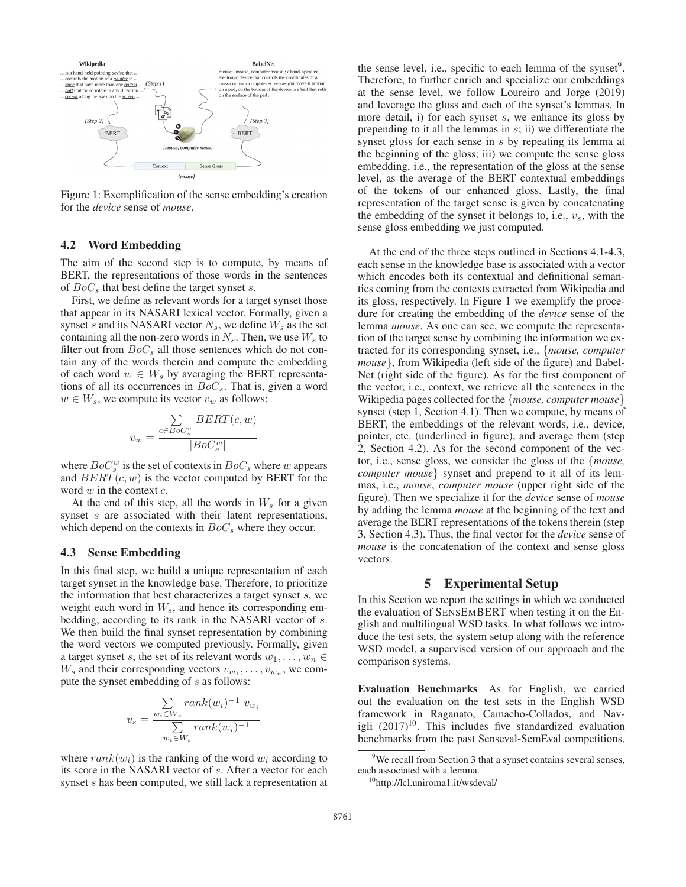

Figure 1: Exemplification of the sense embedding's creation for the *device* sense of *mouse*.

#### 4.2 Word Embedding

The aim of the second step is to compute, by means of BERT, the representations of those words in the sentences of  $BoC<sub>s</sub>$  that best define the target synset s.

First, we define as relevant words for a target synset those that appear in its NASARI lexical vector. Formally, given a synset s and its NASARI vector  $N_s$ , we define  $W_s$  as the set containing all the non-zero words in  $N_s$ . Then, we use  $W_s$  to filter out from  $BoC_s$  all those sentences which do not contain any of the words therein and compute the embedding of each word  $w \in W_s$  by averaging the BERT representations of all its occurrences in  $BoC_s$ . That is, given a word  $w \in W_s$ , we compute its vector  $v_w$  as follows:

$$
v_w = \frac{\sum\limits_{c \in Boc_s^{w}} BERT(c, w)}{|BO_s^{w}|}
$$

where  $BoC_s^w$  is the set of contexts in  $BoC_s$  where w appears<br>and  $BERT(c, w)$  is the vector computed by RERT for the and  $BERT(c, w)$  is the vector computed by BERT for the word  $w$  in the context  $c$ .

At the end of this step, all the words in  $W_s$  for a given synset s are associated with their latent representations, which depend on the contexts in  $BoC<sub>s</sub>$  where they occur.

# 4.3 Sense Embedding

In this final step, we build a unique representation of each target synset in the knowledge base. Therefore, to prioritize the information that best characterizes a target synset s, we weight each word in  $W_s$ , and hence its corresponding embedding, according to its rank in the NASARI vector of s. We then build the final synset representation by combining the word vectors we computed previously. Formally, given a target synset s, the set of its relevant words  $w_1, \ldots, w_n \in$  $W_s$  and their corresponding vectors  $v_{w_1}, \ldots, v_{w_n}$ , we compute the synset embedding of s as follows:

$$
v_s = \frac{\sum_{w_i \in W_s} rank(w_i)^{-1} v_{w_i}}{\sum_{w_i \in W_s} rank(w_i)^{-1}}
$$

where  $rank(w_i)$  is the ranking of the word  $w_i$  according to its score in the NASARI vector of s. After a vector for each synset s has been computed, we still lack a representation at the sense level, i.e., specific to each lemma of the synset $9$ . Therefore, to further enrich and specialize our embeddings at the sense level, we follow Loureiro and Jorge (2019) and leverage the gloss and each of the synset's lemmas. In more detail, i) for each synset s, we enhance its gloss by prepending to it all the lemmas in  $s$ ; ii) we differentiate the synset gloss for each sense in s by repeating its lemma at the beginning of the gloss; iii) we compute the sense gloss embedding, i.e., the representation of the gloss at the sense level, as the average of the BERT contextual embeddings of the tokens of our enhanced gloss. Lastly, the final representation of the target sense is given by concatenating the embedding of the synset it belongs to, i.e.,  $v_s$ , with the sense gloss embedding we just computed.

At the end of the three steps outlined in Sections 4.1-4.3, each sense in the knowledge base is associated with a vector which encodes both its contextual and definitional semantics coming from the contexts extracted from Wikipedia and its gloss, respectively. In Figure 1 we exemplify the procedure for creating the embedding of the *device* sense of the lemma *mouse*. As one can see, we compute the representation of the target sense by combining the information we extracted for its corresponding synset, i.e., {*mouse, computer mouse*}, from Wikipedia (left side of the figure) and Babel-Net (right side of the figure). As for the first component of the vector, i.e., context, we retrieve all the sentences in the Wikipedia pages collected for the {*mouse, computer mouse*} synset (step 1, Section 4.1). Then we compute, by means of BERT, the embeddings of the relevant words, i.e., device, pointer, etc. (underlined in figure), and average them (step 2, Section 4.2). As for the second component of the vector, i.e., sense gloss, we consider the gloss of the {*mouse, computer mouse*} synset and prepend to it all of its lemmas, i.e., *mouse*, *computer mouse* (upper right side of the figure). Then we specialize it for the *device* sense of *mouse* by adding the lemma *mouse* at the beginning of the text and average the BERT representations of the tokens therein (step 3, Section 4.3). Thus, the final vector for the *device* sense of *mouse* is the concatenation of the context and sense gloss vectors.

### 5 Experimental Setup

In this Section we report the settings in which we conducted the evaluation of SENSEMBERT when testing it on the English and multilingual WSD tasks. In what follows we introduce the test sets, the system setup along with the reference WSD model, a supervised version of our approach and the comparison systems.

Evaluation Benchmarks As for English, we carried out the evaluation on the test sets in the English WSD framework in Raganato, Camacho-Collados, and Navigli  $(2017)^{10}$ . This includes five standardized evaluation benchmarks from the past Senseval-SemEval competitions,

<sup>&</sup>lt;sup>9</sup>We recall from Section 3 that a synset contains several senses, each associated with a lemma.

<sup>&</sup>lt;sup>10</sup>http://lcl.uniroma1.it/wsdeval/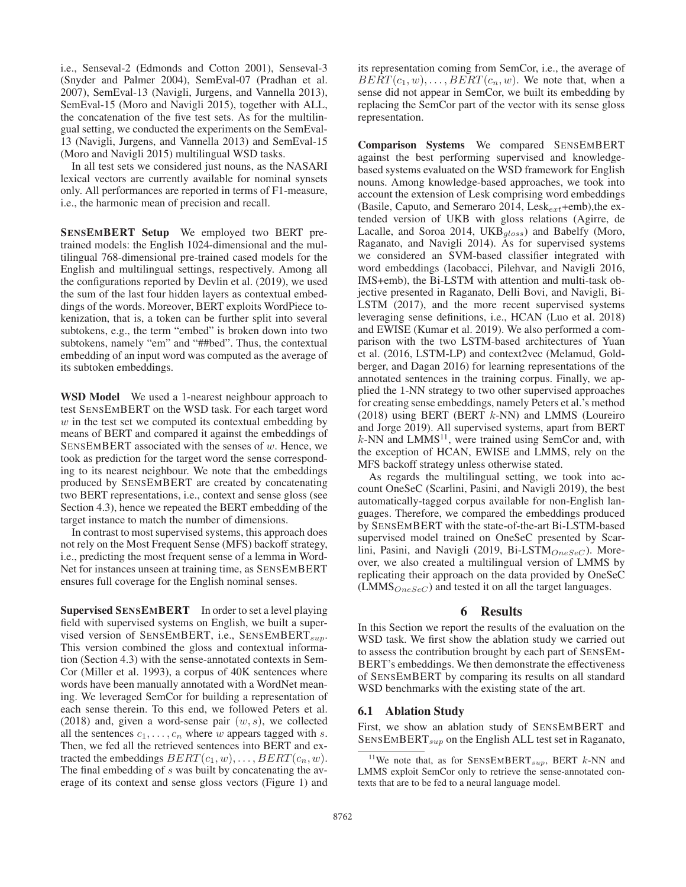i.e., Senseval-2 (Edmonds and Cotton 2001), Senseval-3 (Snyder and Palmer 2004), SemEval-07 (Pradhan et al. 2007), SemEval-13 (Navigli, Jurgens, and Vannella 2013), SemEval-15 (Moro and Navigli 2015), together with ALL, the concatenation of the five test sets. As for the multilingual setting, we conducted the experiments on the SemEval-13 (Navigli, Jurgens, and Vannella 2013) and SemEval-15 (Moro and Navigli 2015) multilingual WSD tasks.

In all test sets we considered just nouns, as the NASARI lexical vectors are currently available for nominal synsets only. All performances are reported in terms of F1-measure, i.e., the harmonic mean of precision and recall.

SENSEMBERT Setup We employed two BERT pretrained models: the English 1024-dimensional and the multilingual 768-dimensional pre-trained cased models for the English and multilingual settings, respectively. Among all the configurations reported by Devlin et al. (2019), we used the sum of the last four hidden layers as contextual embeddings of the words. Moreover, BERT exploits WordPiece tokenization, that is, a token can be further split into several subtokens, e.g., the term "embed" is broken down into two subtokens, namely "em" and "##bed". Thus, the contextual embedding of an input word was computed as the average of its subtoken embeddings.

WSD Model We used a 1-nearest neighbour approach to test SENSEMBERT on the WSD task. For each target word  $w$  in the test set we computed its contextual embedding by means of BERT and compared it against the embeddings of SENSEMBERT associated with the senses of  $w$ . Hence, we took as prediction for the target word the sense corresponding to its nearest neighbour. We note that the embeddings produced by SENSEMBERT are created by concatenating two BERT representations, i.e., context and sense gloss (see Section 4.3), hence we repeated the BERT embedding of the target instance to match the number of dimensions.

In contrast to most supervised systems, this approach does not rely on the Most Frequent Sense (MFS) backoff strategy, i.e., predicting the most frequent sense of a lemma in Word-Net for instances unseen at training time, as SENSEMBERT ensures full coverage for the English nominal senses.

Supervised SENSEMBERT In order to set a level playing field with supervised systems on English, we built a supervised version of SENSEMBERT, i.e., SENSEMBERT<sub>sup</sub>. This version combined the gloss and contextual information (Section 4.3) with the sense-annotated contexts in Sem-Cor (Miller et al. 1993), a corpus of 40K sentences where words have been manually annotated with a WordNet meaning. We leveraged SemCor for building a representation of each sense therein. To this end, we followed Peters et al. (2018) and, given a word-sense pair  $(w, s)$ , we collected all the sentences  $c_1, \ldots, c_n$  where w appears tagged with s. Then, we fed all the retrieved sentences into BERT and extracted the embeddings  $BERT(c_1, w), \ldots, BERT(c_n, w)$ . The final embedding of s was built by concatenating the average of its context and sense gloss vectors (Figure 1) and

its representation coming from SemCor, i.e., the average of  $BERT(c_1, w), \ldots, BERT(c_n, w)$ . We note that, when a sense did not appear in SemCor, we built its embedding by replacing the SemCor part of the vector with its sense gloss representation.

Comparison Systems We compared SENSEMBERT against the best performing supervised and knowledgebased systems evaluated on the WSD framework for English nouns. Among knowledge-based approaches, we took into account the extension of Lesk comprising word embeddings (Basile, Caputo, and Semeraro 2014, Les $k_{ext}$ +emb),the extended version of UKB with gloss relations (Agirre, de Lacalle, and Soroa 2014, UKB $_{gloss}$ ) and Babelfy (Moro, Raganato, and Navigli 2014). As for supervised systems we considered an SVM-based classifier integrated with word embeddings (Iacobacci, Pilehvar, and Navigli 2016, IMS+emb), the Bi-LSTM with attention and multi-task objective presented in Raganato, Delli Bovi, and Navigli, Bi-LSTM (2017), and the more recent supervised systems leveraging sense definitions, i.e., HCAN (Luo et al. 2018) and EWISE (Kumar et al. 2019). We also performed a comparison with the two LSTM-based architectures of Yuan et al. (2016, LSTM-LP) and context2vec (Melamud, Goldberger, and Dagan 2016) for learning representations of the annotated sentences in the training corpus. Finally, we applied the 1-NN strategy to two other supervised approaches for creating sense embeddings, namely Peters et al.'s method (2018) using BERT (BERT  $k$ -NN) and LMMS (Loureiro and Jorge 2019). All supervised systems, apart from BERT  $k$ -NN and LMMS<sup>11</sup>, were trained using SemCor and, with the exception of HCAN, EWISE and LMMS, rely on the MFS backoff strategy unless otherwise stated.

As regards the multilingual setting, we took into account OneSeC (Scarlini, Pasini, and Navigli 2019), the best automatically-tagged corpus available for non-English languages. Therefore, we compared the embeddings produced by SENSEMBERT with the state-of-the-art Bi-LSTM-based supervised model trained on OneSeC presented by Scarlini, Pasini, and Navigli (2019, Bi-LST $M_{OneSeC}$ ). Moreover, we also created a multilingual version of LMMS by replicating their approach on the data provided by OneSeC  $(LMMS_{OneSec})$  and tested it on all the target languages.

#### 6 Results

In this Section we report the results of the evaluation on the WSD task. We first show the ablation study we carried out to assess the contribution brought by each part of SENSEM-BERT's embeddings. We then demonstrate the effectiveness of SENSEMBERT by comparing its results on all standard WSD benchmarks with the existing state of the art.

#### 6.1 Ablation Study

First, we show an ablation study of SENSEMBERT and  $SENSEMBERT_{sup}$  on the English ALL test set in Raganato,

<sup>&</sup>lt;sup>11</sup>We note that, as for SENSEMBERT<sub>sup</sub>, BERT  $k$ -NN and LMMS exploit SemCor only to retrieve the sense-annotated contexts that are to be fed to a neural language model.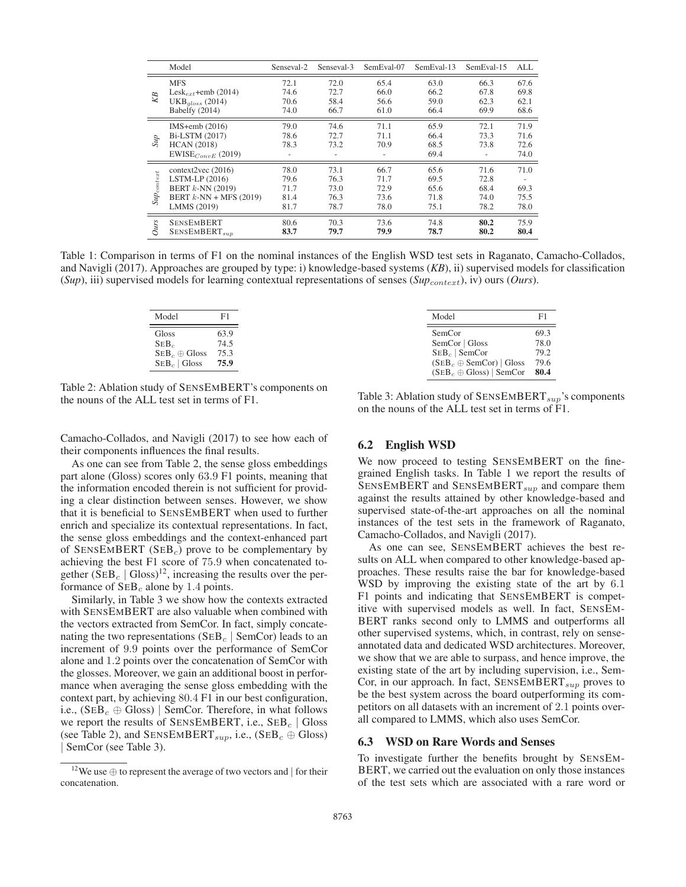|                                 | Model                                                                                                         | Senseval-2                           | Senseval-3                           | SemEval-07                           | SemEval-13                           | SemEval-15                           | AI.                          |
|---------------------------------|---------------------------------------------------------------------------------------------------------------|--------------------------------------|--------------------------------------|--------------------------------------|--------------------------------------|--------------------------------------|------------------------------|
| KB                              | <b>MFS</b><br>Lesk <sub>ext</sub> +emb (2014)                                                                 | 72.1<br>74.6                         | 72.0<br>72.7                         | 65.4<br>66.0                         | 63.0<br>66.2                         | 66.3<br>67.8                         | 67.6<br>69.8                 |
|                                 | $UKBaloss$ (2014)<br>Babelfy (2014)                                                                           | 70.6<br>74.0                         | 58.4<br>66.7                         | 56.6<br>61.0                         | 59.0<br>66.4                         | 62.3<br>69.9                         | 62.1<br>68.6                 |
| Sир                             | IMS $+$ emb $(2016)$<br>Bi-LSTM (2017)<br><b>HCAN</b> (2018)<br>$EWISE_{ConvE}$ (2019)                        | 79.0<br>78.6<br>78.3                 | 74.6<br>72.7<br>73.2                 | 71.1<br>71.1<br>70.9                 | 65.9<br>66.4<br>68.5<br>69.4         | 72.1<br>73.3<br>73.8                 | 71.9<br>71.6<br>72.6<br>74.0 |
| $\mathit{Sup}_\textit{content}$ | context2vec $(2016)$<br>$LSTM-LP (2016)$<br>BERT $k$ -NN $(2019)$<br>BERT $k$ -NN + MFS (2019)<br>LMMS (2019) | 78.0<br>79.6<br>71.7<br>81.4<br>81.7 | 73.1<br>76.3<br>73.0<br>76.3<br>78.7 | 66.7<br>71.7<br>72.9<br>73.6<br>78.0 | 65.6<br>69.5<br>65.6<br>71.8<br>75.1 | 71.6<br>72.8<br>68.4<br>74.0<br>78.2 | 71.0<br>69.3<br>75.5<br>78.0 |
| Ours                            | <b>SENSEMBERT</b><br>SENSEMBERT <sub>sup</sub>                                                                | 80.6<br>83.7                         | 70.3<br>79.7                         | 73.6<br>79.9                         | 74.8<br>78.7                         | 80.2<br>80.2                         | 75.9<br>80.4                 |

Table 1: Comparison in terms of F1 on the nominal instances of the English WSD test sets in Raganato, Camacho-Collados, and Navigli (2017). Approaches are grouped by type: i) knowledge-based systems (*KB*), ii) supervised models for classification  $(Sup)$ , iii) supervised models for learning contextual representations of senses  $(Sup_{context})$ , iv) ours (*Ours*).

| Model                                   | F1                   |
|-----------------------------------------|----------------------|
| Gloss<br>$SEB_c$<br>$SEBc \oplus Gloss$ | 63.9<br>74.5<br>75.3 |
| $SEB_c  $ Gloss                         | 75.9                 |

Model F1 SemCor 69.3<br>SemCor Gloss 78.0 SemCor | Gloss  $\text{SEB}_c$  | SemCor 79.2<br>  $(\text{SEB}_{c} \oplus \text{SemCor})$  | Gloss 79.6  $(SEB<sub>c</sub> \oplus SemCor)$  | Gloss 79.6<br> $(SEB \oplus Glose)$  | SemCor 80.4  $(SEB<sub>c</sub> \oplus \text{Gloss})$  | SemCor 80.4

Table 2: Ablation study of SENSEMBERT's components on the nouns of the ALL test set in terms of F1.

Camacho-Collados, and Navigli (2017) to see how each of their components influences the final results.

As one can see from Table 2, the sense gloss embeddings part alone (Gloss) scores only 63.9 F1 points, meaning that the information encoded therein is not sufficient for providing a clear distinction between senses. However, we show that it is beneficial to SENSEMBERT when used to further enrich and specialize its contextual representations. In fact, the sense gloss embeddings and the context-enhanced part of SENSEMBERT (SEB<sub>c</sub>) prove to be complementary by achieving the best F1 score of 75.9 when concatenated together  $(SEB<sub>c</sub> | Gloss)<sup>12</sup>$ , increasing the results over the performance of  $SEB<sub>c</sub>$  alone by 1.4 points.

Similarly, in Table 3 we show how the contexts extracted with SENSEMBERT are also valuable when combined with the vectors extracted from SemCor. In fact, simply concatenating the two representations ( $\text{SEB}_c$  | SemCor) leads to an increment of 9.9 points over the performance of SemCor alone and 1.2 points over the concatenation of SemCor with the glosses. Moreover, we gain an additional boost in performance when averaging the sense gloss embedding with the context part, by achieving 80.4 F1 in our best configuration, i.e.,  $(SEB<sub>c</sub> \oplus Gloss)$  SemCor. Therefore, in what follows we report the results of SENSEMBERT, i.e.,  $\text{SEB}_c$  | Gloss (see Table 2), and SENSEMBERT<sub>sup</sub>, i.e., (SEB<sub>c</sub>  $\oplus$  Gloss) | SemCor (see Table 3).

Table 3: Ablation study of  $SENSEMBERT_{sup}$ 's components on the nouns of the ALL test set in terms of F1.

#### 6.2 English WSD

We now proceed to testing SENSEMBERT on the finegrained English tasks. In Table 1 we report the results of  $SENSEMBERT$  and  $SENSEMBERT_{sup}$  and compare them against the results attained by other knowledge-based and supervised state-of-the-art approaches on all the nominal instances of the test sets in the framework of Raganato, Camacho-Collados, and Navigli (2017).

As one can see, SENSEMBERT achieves the best results on ALL when compared to other knowledge-based approaches. These results raise the bar for knowledge-based WSD by improving the existing state of the art by 6.1 F1 points and indicating that SENSEMBERT is competitive with supervised models as well. In fact, SENSEM-BERT ranks second only to LMMS and outperforms all other supervised systems, which, in contrast, rely on senseannotated data and dedicated WSD architectures. Moreover, we show that we are able to surpass, and hence improve, the existing state of the art by including supervision, i.e., Sem-Cor, in our approach. In fact,  $SENSEMBERT_{sup}$  proves to be the best system across the board outperforming its competitors on all datasets with an increment of 2.1 points overall compared to LMMS, which also uses SemCor.

#### 6.3 WSD on Rare Words and Senses

To investigate further the benefits brought by SENSEM-BERT, we carried out the evaluation on only those instances of the test sets which are associated with a rare word or

<sup>&</sup>lt;sup>12</sup>We use  $\oplus$  to represent the average of two vectors and | for their concatenation.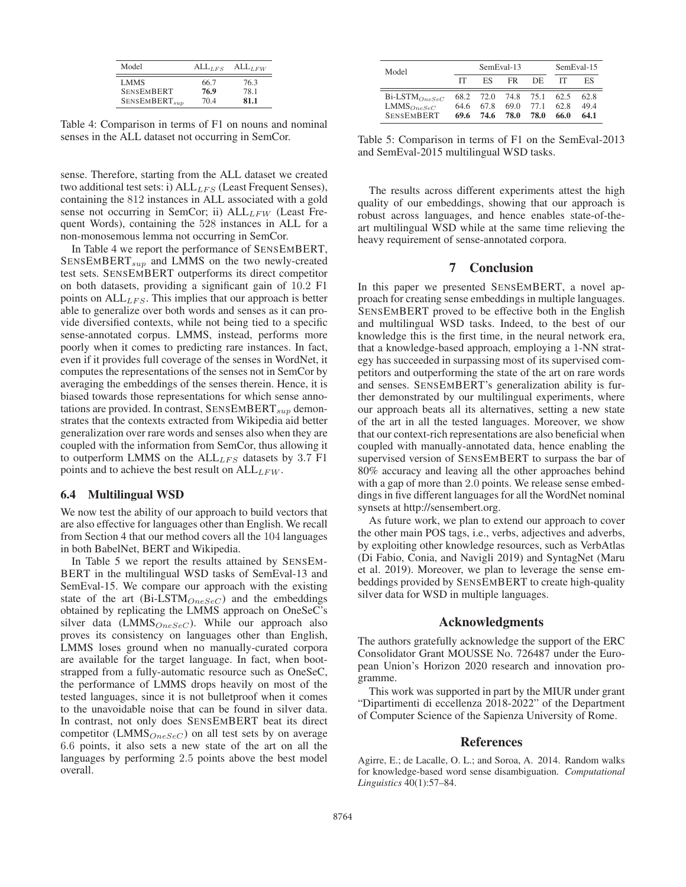| Model              | $ALL_{LFS}$ | $ALL_{LFW}$ |
|--------------------|-------------|-------------|
| LMMS               | 66.7        | 76.3        |
| <b>SENSEMBERT</b>  | 76.9        | 78.1        |
| $SENSEMBERT_{sub}$ | 704         | 81.1        |

Table 4: Comparison in terms of F1 on nouns and nominal senses in the ALL dataset not occurring in SemCor.

sense. Therefore, starting from the ALL dataset we created two additional test sets: i)  $ALL_{LFS}$  (Least Frequent Senses), containing the 812 instances in ALL associated with a gold sense not occurring in SemCor; ii)  $ALL_{LFW}$  (Least Frequent Words), containing the 528 instances in ALL for a non-monosemous lemma not occurring in SemCor.

In Table 4 we report the performance of SENSEMBERT,  $SENSEMBERT_{sup}$  and LMMS on the two newly-created test sets. SENSEMBERT outperforms its direct competitor on both datasets, providing a significant gain of 10.2 F1 points on  $ALL_{LFS}$ . This implies that our approach is better able to generalize over both words and senses as it can provide diversified contexts, while not being tied to a specific sense-annotated corpus. LMMS, instead, performs more poorly when it comes to predicting rare instances. In fact, even if it provides full coverage of the senses in WordNet, it computes the representations of the senses not in SemCor by averaging the embeddings of the senses therein. Hence, it is biased towards those representations for which sense annotations are provided. In contrast,  $SENSEMBERT_{sup}$  demonstrates that the contexts extracted from Wikipedia aid better generalization over rare words and senses also when they are coupled with the information from SemCor, thus allowing it to outperform LMMS on the  $ALL_{LFS}$  datasets by 3.7 F1 points and to achieve the best result on  $ALL_{LFW}$ .

#### 6.4 Multilingual WSD

We now test the ability of our approach to build vectors that are also effective for languages other than English. We recall from Section 4 that our method covers all the 104 languages in both BabelNet, BERT and Wikipedia.

In Table 5 we report the results attained by SENSEM-BERT in the multilingual WSD tasks of SemEval-13 and SemEval-15. We compare our approach with the existing state of the art  $(Bi$ -LSTM $_{OneSeC}$ ) and the embeddings obtained by replicating the LMMS approach on OneSeC's silver data (LMMS $_{OneSeC}$ ). While our approach also proves its consistency on languages other than English, LMMS loses ground when no manually-curated corpora are available for the target language. In fact, when bootstrapped from a fully-automatic resource such as OneSeC, the performance of LMMS drops heavily on most of the tested languages, since it is not bulletproof when it comes to the unavoidable noise that can be found in silver data. In contrast, not only does SENSEMBERT beat its direct competitor (LMMS $_{OneSeC}$ ) on all test sets by on average 6.6 points, it also sets a new state of the art on all the languages by performing 2.5 points above the best model overall.

| Model                                                          | SemEval-13           |                      |                      |                      | SemEval-15           |                     |
|----------------------------------------------------------------|----------------------|----------------------|----------------------|----------------------|----------------------|---------------------|
|                                                                | IТ                   | ЕS                   | FR.                  | DE                   |                      | ES                  |
| $Bi$ -LSTM $_{OneSec}$<br>$LMMS_{OneSec}$<br><b>SENSEMBERT</b> | 68.2<br>64 6<br>69.6 | 72.O<br>67.8<br>74.6 | 74.8<br>69.0<br>78.0 | 75.1<br>77 1<br>78.0 | 62.5<br>62.8<br>66.0 | 62.8<br>494<br>64.1 |

Table 5: Comparison in terms of F1 on the SemEval-2013 and SemEval-2015 multilingual WSD tasks.

The results across different experiments attest the high quality of our embeddings, showing that our approach is robust across languages, and hence enables state-of-theart multilingual WSD while at the same time relieving the heavy requirement of sense-annotated corpora.

## 7 Conclusion

In this paper we presented SENSEMBERT, a novel approach for creating sense embeddings in multiple languages. SENSEMBERT proved to be effective both in the English and multilingual WSD tasks. Indeed, to the best of our knowledge this is the first time, in the neural network era, that a knowledge-based approach, employing a 1-NN strategy has succeeded in surpassing most of its supervised competitors and outperforming the state of the art on rare words and senses. SENSEMBERT's generalization ability is further demonstrated by our multilingual experiments, where our approach beats all its alternatives, setting a new state of the art in all the tested languages. Moreover, we show that our context-rich representations are also beneficial when coupled with manually-annotated data, hence enabling the supervised version of SENSEMBERT to surpass the bar of 80% accuracy and leaving all the other approaches behind with a gap of more than 2.0 points. We release sense embeddings in five different languages for all the WordNet nominal synsets at http://sensembert.org.

As future work, we plan to extend our approach to cover the other main POS tags, i.e., verbs, adjectives and adverbs, by exploiting other knowledge resources, such as VerbAtlas (Di Fabio, Conia, and Navigli 2019) and SyntagNet (Maru et al. 2019). Moreover, we plan to leverage the sense embeddings provided by SENSEMBERT to create high-quality silver data for WSD in multiple languages.

## Acknowledgments

The authors gratefully acknowledge the support of the ERC Consolidator Grant MOUSSE No. 726487 under the European Union's Horizon 2020 research and innovation programme.

This work was supported in part by the MIUR under grant "Dipartimenti di eccellenza 2018-2022" of the Department of Computer Science of the Sapienza University of Rome.

## References

Agirre, E.; de Lacalle, O. L.; and Soroa, A. 2014. Random walks for knowledge-based word sense disambiguation. *Computational Linguistics* 40(1):57–84.